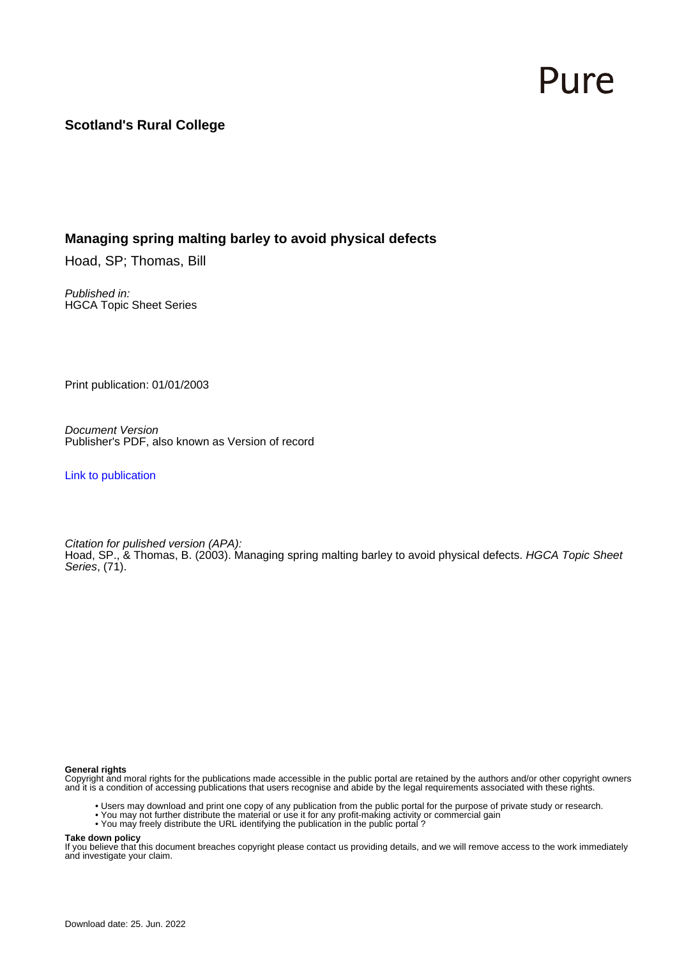# Pure

### **Scotland's Rural College**

### **Managing spring malting barley to avoid physical defects**

Hoad, SP; Thomas, Bill

Published in: HGCA Topic Sheet Series

Print publication: 01/01/2003

Document Version Publisher's PDF, also known as Version of record

[Link to publication](https://pure.sruc.ac.uk/en/publications/8e616e46-5468-496a-af9e-87f086c45f06)

Citation for pulished version (APA): Hoad, SP., & Thomas, B. (2003). Managing spring malting barley to avoid physical defects. *HGCA Topic Sheet* Series, (71).

### **General rights**

Copyright and moral rights for the publications made accessible in the public portal are retained by the authors and/or other copyright owners and it is a condition of accessing publications that users recognise and abide by the legal requirements associated with these rights.

- Users may download and print one copy of any publication from the public portal for the purpose of private study or research.
- You may not further distribute the material or use it for any profit-making activity or commercial gain
- You may freely distribute the URL identifying the publication in the public portal ?

### **Take down policy**

If you believe that this document breaches copyright please contact us providing details, and we will remove access to the work immediately and investigate your claim.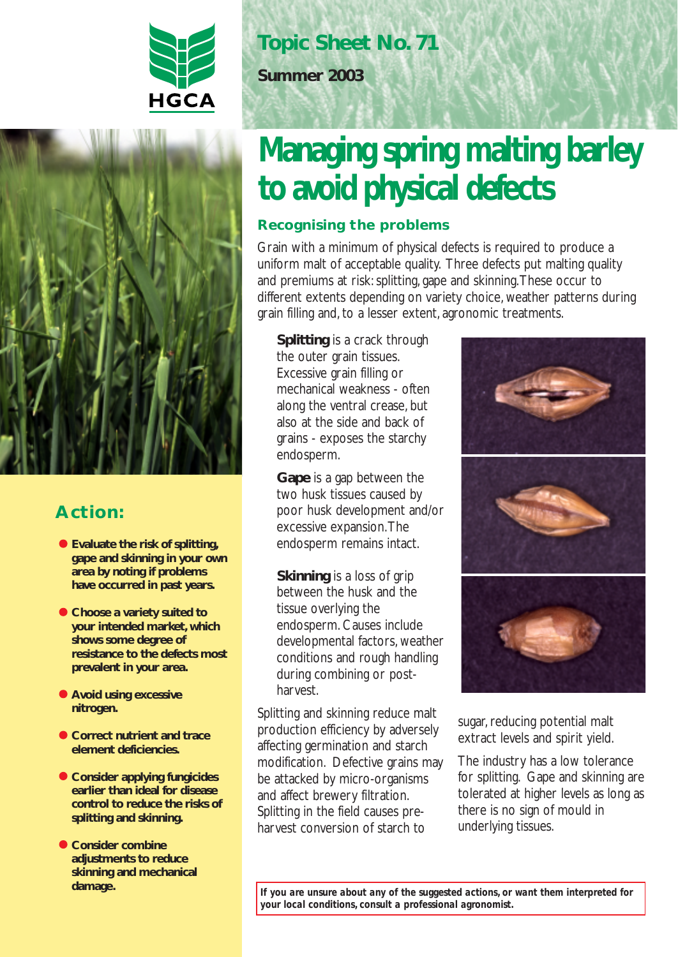



## **Action:**

- **Evaluate the risk of splitting, gape and skinning in your own area by noting if problems have occurred in past years.**
- **Choose a variety suited to your intended market, which shows some degree of resistance to the defects most prevalent in your area.**
- **Avoid using excessive nitrogen.**
- **Correct nutrient and trace element deficiencies.**
- **Consider applying fungicides earlier than ideal for disease control to reduce the risks of splitting and skinning.**
- **Consider combine adjustments to reduce skinning and mechanical damage.**

## **Topic Sheet No. 71**

**Summer 2003**

# **Managing spring malting barley to avoid physical defects**

### **Recognising the problems**

Grain with a minimum of physical defects is required to produce a uniform malt of acceptable quality. Three defects put malting quality and premiums at risk: splitting, gape and skinning.These occur to different extents depending on variety choice, weather patterns during grain filling and, to a lesser extent, agronomic treatments.

**Splitting** is a crack through the outer grain tissues. Excessive grain filling or mechanical weakness - often along the ventral crease, but also at the side and back of grains - exposes the starchy endosperm.

**Gape** is a gap between the two husk tissues caused by poor husk development and/or excessive expansion.The endosperm remains intact.

**Skinning** is a loss of grip between the husk and the tissue overlying the endosperm. Causes include developmental factors, weather conditions and rough handling during combining or postharvest.

Splitting and skinning reduce malt production efficiency by adversely affecting germination and starch modification. Defective grains may be attacked by micro-organisms and affect brewery filtration. Splitting in the field causes preharvest conversion of starch to



sugar, reducing potential malt extract levels and spirit yield.

The industry has a low tolerance for splitting. Gape and skinning are tolerated at higher levels as long as there is no sign of mould in underlying tissues.

*If you are unsure about any of the suggested actions, or want them interpreted for your local conditions, consult a professional agronomist.*